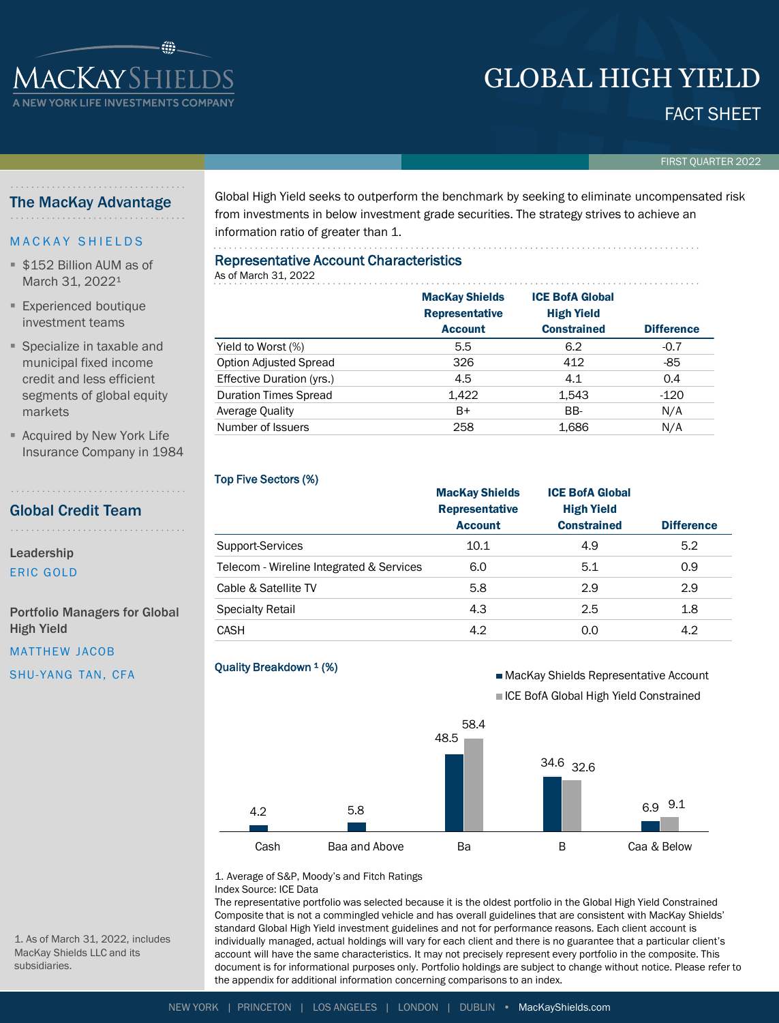# GLOBAL HIGH YIELD

# FACT SHEET

FIRST QUARTER 2022

## The MacKay Advantage

**IACKAYSHIELI V YORK LIFE INVESTMENTS CO** 

#### M A C K A Y S H I E L D S

- \$152 Billion AUM as of March 31, 2022<sup>1</sup>
- **Experienced boutique** investment teams
- Specialize in taxable and municipal fixed income credit and less efficient segments of global equity markets
- Acquired by New York Life Insurance Company in 1984

. . . . . . . . . . . . . .

# Global Credit Team

Leadership ERIC GOLD

Portfolio Managers for Global High Yield

MATTHEW JACOB

SHU-YANG TAN, CFA

Global High Yield seeks to outperform the benchmark by seeking to eliminate uncompensated risk from investments in below investment grade securities. The strategy strives to achieve an information ratio of greater than 1.

# Representative Account Characteristics

. . . . . . . . . . . . . . . . .

#### As of March 31, 2022 MacKay Shields Representative Account ICE BofA Global High Yield Constrained Difference  $Yield to Worst (\%)$  5.5 6.2 -0.7 Option Adjusted Spread and the set of 326 412 -85 Effective Duration (yrs.)  $4.5$  4.1 0.4 Duration Times Spread 1,422 1,543 120 Average Quality **B** B B B BB- BB- N/A

Number of Issuers 258 258 1,686 N/A

#### Top Five Sectors (%)

|                                          | <b>MacKay Shields</b><br><b>Representative</b> | <b>ICE BofA Global</b><br><b>High Yield</b> |                   |
|------------------------------------------|------------------------------------------------|---------------------------------------------|-------------------|
|                                          | <b>Account</b>                                 | <b>Constrained</b>                          | <b>Difference</b> |
| Support-Services                         | 10.1                                           | 4.9                                         | 5.2               |
| Telecom - Wireline Integrated & Services | 6.0                                            | 5.1                                         | 0.9               |
| Cable & Satellite TV                     | 5.8                                            | 2.9                                         | 2.9               |
| <b>Specialty Retail</b>                  | 4.3                                            | 2.5                                         | 1.8               |
| <b>CASH</b>                              | 4.2                                            | 0.0                                         | 4.2               |

#### Quality Breakdown <sup>1</sup> (%)

■ MacKay Shields Representative Account **ICE BofA Global High Yield Constrained** 



1. Average of S&P, Moody's and Fitch Ratings Index Source: ICE Data

The representative portfolio was selected because it is the oldest portfolio in the Global High Yield Constrained Composite that is not a commingled vehicle and has overall guidelines that are consistent with MacKay Shields' standard Global High Yield investment guidelines and not for performance reasons. Each client account is individually managed, actual holdings will vary for each client and there is no guarantee that a particular client's account will have the same characteristics. It may not precisely represent every portfolio in the composite. This document is for informational purposes only. Portfolio holdings are subject to change without notice. Please refer to the appendix for additional information concerning comparisons to an index.

1. As of March 31, 2022, includes MacKay Shields LLC and its subsidiaries.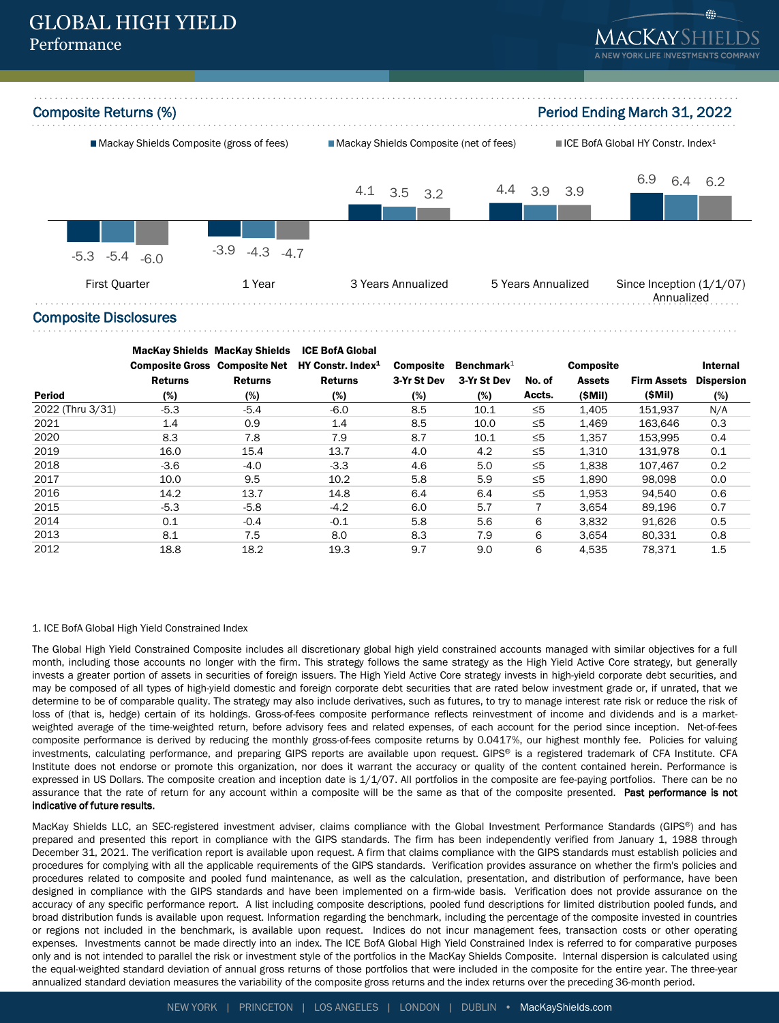

#### Composite Disclosures

|                  | <b>Composite Gross Composite Net</b> | <b>MacKay Shields MacKay Shields</b> | <b>ICE BofA Global</b><br>HY Constr. Index <sup>1</sup> | <b>Composite</b> | Benchmark $1$ |          | <b>Composite</b> |                    | Internal          |
|------------------|--------------------------------------|--------------------------------------|---------------------------------------------------------|------------------|---------------|----------|------------------|--------------------|-------------------|
|                  | <b>Returns</b>                       | <b>Returns</b>                       | <b>Returns</b>                                          | 3-Yr St Dev      | 3-Yr St Dev   | No. of   | <b>Assets</b>    | <b>Firm Assets</b> | <b>Dispersion</b> |
| <b>Period</b>    | (%)                                  | (%)                                  | (%)                                                     | (%)              | (%)           | Accts.   | (SMil)           | (SMII)             | (%)               |
| 2022 (Thru 3/31) | $-5.3$                               | $-5.4$                               | $-6.0$                                                  | 8.5              | 10.1          | $\leq 5$ | 1,405            | 151.937            | N/A               |
| 2021             | 1.4                                  | 0.9                                  | 1.4                                                     | 8.5              | 10.0          | $\leq 5$ | 1,469            | 163,646            | 0.3               |
| 2020             | 8.3                                  | 7.8                                  | 7.9                                                     | 8.7              | 10.1          | $\leq 5$ | 1,357            | 153.995            | 0.4               |
| 2019             | 16.0                                 | 15.4                                 | 13.7                                                    | 4.0              | 4.2           | $\leq 5$ | 1.310            | 131.978            | 0.1               |
| 2018             | $-3.6$                               | $-4.0$                               | $-3.3$                                                  | 4.6              | 5.0           | $\leq 5$ | 1,838            | 107.467            | 0.2               |
| 2017             | 10.0                                 | 9.5                                  | 10.2                                                    | 5.8              | 5.9           | $\leq 5$ | 1,890            | 98.098             | 0.0               |
| 2016             | 14.2                                 | 13.7                                 | 14.8                                                    | 6.4              | 6.4           | $\leq 5$ | 1,953            | 94.540             | 0.6               |
| 2015             | $-5.3$                               | $-5.8$                               | $-4.2$                                                  | 6.0              | 5.7           |          | 3.654            | 89.196             | 0.7               |
| 2014             | 0.1                                  | $-0.4$                               | $-0.1$                                                  | 5.8              | 5.6           | 6        | 3,832            | 91,626             | 0.5               |
| 2013             | 8.1                                  | 7.5                                  | 8.0                                                     | 8.3              | 7.9           | 6        | 3,654            | 80.331             | 0.8               |
| 2012             | 18.8                                 | 18.2                                 | 19.3                                                    | 9.7              | 9.0           | 6        | 4.535            | 78.371             | 1.5               |

#### 1. ICE BofA Global High Yield Constrained Index

The Global High Yield Constrained Composite includes all discretionary global high yield constrained accounts managed with similar objectives for a full month, including those accounts no longer with the firm. This strategy follows the same strategy as the High Yield Active Core strategy, but generally invests a greater portion of assets in securities of foreign issuers. The High Yield Active Core strategy invests in high-yield corporate debt securities, and may be composed of all types of high-yield domestic and foreign corporate debt securities that are rated below investment grade or, if unrated, that we determine to be of comparable quality. The strategy may also include derivatives, such as futures, to try to manage interest rate risk or reduce the risk of loss of (that is, hedge) certain of its holdings. Gross-of-fees composite performance reflects reinvestment of income and dividends and is a marketweighted average of the time-weighted return, before advisory fees and related expenses, of each account for the period since inception. Net-of-fees composite performance is derived by reducing the monthly gross-of-fees composite returns by 0.0417%, our highest monthly fee. Policies for valuing investments, calculating performance, and preparing GIPS reports are available upon request. GIPS® is a registered trademark of CFA Institute. CFA Institute does not endorse or promote this organization, nor does it warrant the accuracy or quality of the content contained herein. Performance is expressed in US Dollars. The composite creation and inception date is 1/1/07. All portfolios in the composite are fee-paying portfolios. There can be no assurance that the rate of return for any account within a composite will be the same as that of the composite presented. Past performance is not indicative of future results.

MacKay Shields LLC, an SEC-registered investment adviser, claims compliance with the Global Investment Performance Standards (GIPS®) and has prepared and presented this report in compliance with the GIPS standards. The firm has been independently verified from January 1, 1988 through December 31, 2021. The verification report is available upon request. A firm that claims compliance with the GIPS standards must establish policies and procedures for complying with all the applicable requirements of the GIPS standards. Verification provides assurance on whether the firm's policies and procedures related to composite and pooled fund maintenance, as well as the calculation, presentation, and distribution of performance, have been designed in compliance with the GIPS standards and have been implemented on a firm-wide basis. Verification does not provide assurance on the accuracy of any specific performance report. A list including composite descriptions, pooled fund descriptions for limited distribution pooled funds, and broad distribution funds is available upon request. Information regarding the benchmark, including the percentage of the composite invested in countries or regions not included in the benchmark, is available upon request. Indices do not incur management fees, transaction costs or other operating expenses. Investments cannot be made directly into an index. The ICE BofA Global High Yield Constrained Index is referred to for comparative purposes only and is not intended to parallel the risk or investment style of the portfolios in the MacKay Shields Composite. Internal dispersion is calculated using the equal-weighted standard deviation of annual gross returns of those portfolios that were included in the composite for the entire year. The three-year annualized standard deviation measures the variability of the composite gross returns and the index returns over the preceding 36-month period.